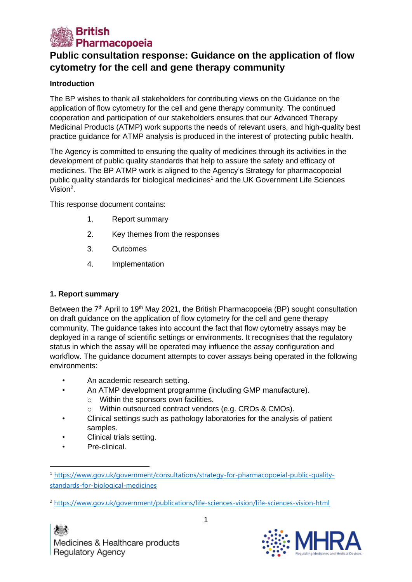

# **Public consultation response: Guidance on the application of flow cytometry for the cell and gene therapy community**

# **Introduction**

The BP wishes to thank all stakeholders for contributing views on the Guidance on the application of flow cytometry for the cell and gene therapy community. The continued cooperation and participation of our stakeholders ensures that our Advanced Therapy Medicinal Products (ATMP) work supports the needs of relevant users, and high-quality best practice guidance for ATMP analysis is produced in the interest of protecting public health.

The Agency is committed to ensuring the quality of medicines through its activities in the development of public quality standards that help to assure the safety and efficacy of medicines. The BP ATMP work is aligned to the Agency's Strategy for pharmacopoeial public quality standards for biological medicines<sup>1</sup> and the UK Government Life Sciences Vision<sup>2</sup>.

This response document contains:

- 1. Report summary
- 2. Key themes from the responses
- 3. Outcomes
- 4. Implementation

# **1. Report summary**

Between the 7<sup>th</sup> April to 19<sup>th</sup> May 2021, the British Pharmacopoeia (BP) sought consultation on draft guidance on the application of flow cytometry for the cell and gene therapy community. The guidance takes into account the fact that flow cytometry assays may be deployed in a range of scientific settings or environments. It recognises that the regulatory status in which the assay will be operated may influence the assay configuration and workflow. The guidance document attempts to cover assays being operated in the following environments:

- An academic research setting.
- An ATMP development programme (including GMP manufacture).
	- o Within the sponsors own facilities.
	- o Within outsourced contract vendors (e.g. CROs & CMOs).
- Clinical settings such as pathology laboratories for the analysis of patient samples.
- Clinical trials setting.
- Pre-clinical.



<sup>1</sup> [https://www.gov.uk/government/consultations/strategy-for-pharmacopoeial-public-quality](https://www.gov.uk/government/consultations/strategy-for-pharmacopoeial-public-quality-standards-for-biological-medicines)[standards-for-biological-medicines](https://www.gov.uk/government/consultations/strategy-for-pharmacopoeial-public-quality-standards-for-biological-medicines)

<sup>2</sup> https://www.gov.uk/government/publications/life-sciences-vision/life-sciences-vision-html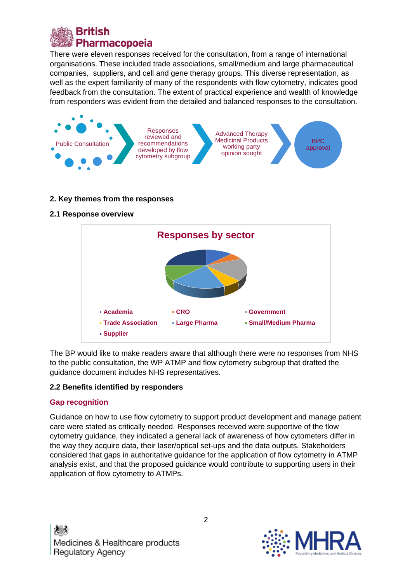

There were eleven responses received for the consultation, from a range of international organisations. These included trade associations, small/medium and large pharmaceutical companies, suppliers, and cell and gene therapy groups. This diverse representation, as well as the expert familiarity of many of the respondents with flow cytometry, indicates good feedback from the consultation. The extent of practical experience and wealth of knowledge from responders was evident from the detailed and balanced responses to the consultation.



## **2. Key themes from the responses**

#### **2.1 Response overview**



The BP would like to make readers aware that although there were no responses from NHS to the public consultation, the WP ATMP and flow cytometry subgroup that drafted the guidance document includes NHS representatives.

## **2.2 Benefits identified by responders**

## **Gap recognition**

Guidance on how to use flow cytometry to support product development and manage patient care were stated as critically needed. Responses received were supportive of the flow cytometry guidance, they indicated a general lack of awareness of how cytometers differ in the way they acquire data, their laser/optical set-ups and the data outputs. Stakeholders considered that gaps in authoritative guidance for the application of flow cytometry in ATMP analysis exist, and that the proposed guidance would contribute to supporting users in their application of flow cytometry to ATMPs.

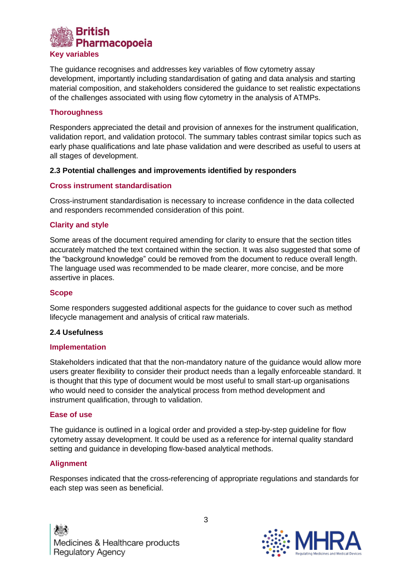

The guidance recognises and addresses key variables of flow cytometry assay development, importantly including standardisation of gating and data analysis and starting material composition, and stakeholders considered the guidance to set realistic expectations of the challenges associated with using flow cytometry in the analysis of ATMPs.

## **Thoroughness**

Responders appreciated the detail and provision of annexes for the instrument qualification, validation report, and validation protocol. The summary tables contrast similar topics such as early phase qualifications and late phase validation and were described as useful to users at all stages of development.

## **2.3 Potential challenges and improvements identified by responders**

## **Cross instrument standardisation**

Cross-instrument standardisation is necessary to increase confidence in the data collected and responders recommended consideration of this point.

#### **Clarity and style**

Some areas of the document required amending for clarity to ensure that the section titles accurately matched the text contained within the section. It was also suggested that some of the "background knowledge" could be removed from the document to reduce overall length. The language used was recommended to be made clearer, more concise, and be more assertive in places.

#### **Scope**

Some responders suggested additional aspects for the guidance to cover such as method lifecycle management and analysis of critical raw materials.

## **2.4 Usefulness**

#### **Implementation**

Stakeholders indicated that that the non-mandatory nature of the guidance would allow more users greater flexibility to consider their product needs than a legally enforceable standard. It is thought that this type of document would be most useful to small start-up organisations who would need to consider the analytical process from method development and instrument qualification, through to validation.

#### **Ease of use**

The guidance is outlined in a logical order and provided a step-by-step guideline for flow cytometry assay development. It could be used as a reference for internal quality standard setting and guidance in developing flow-based analytical methods.

## **Alignment**

Responses indicated that the cross-referencing of appropriate regulations and standards for each step was seen as beneficial.